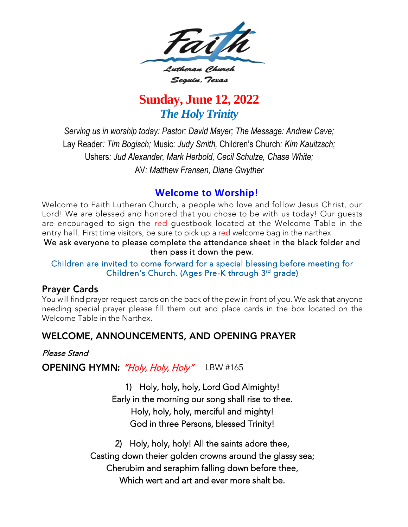

# **Sunday, June 12, 2022** *The Holy Trinity*

*Serving us in worship today: Pastor: David Mayer; The Message: Andrew Cave;* Lay Reader*: Tim Bogisch;* Music*: Judy Smith,* Children's Church*: Kim Kauitzsch;*  Ushers*: Jud Alexander, Mark Herbold, Cecil Schulze, Chase White;* AV*: Matthew Fransen, Diane Gwyther*

**Welcome to Worship!**<br>Welcome to Faith Lutheran Church, a people who love and follow Jesus Christ, our Lord! We are blessed and honored that you chose to be with us today! Our quests are encouraged to sign the red questbook located at the Welcome Table in the entry hall. First time visitors, be sure to pick up a red welcome bag in the narthex.

We ask everyone to please complete the attendance sheet in the black folder and then pass it down the pew.

#### Children are invited to come forward for a special blessing before meeting for Children's Church (Ages Pre-K through 3rd grade) Children's Church. (Ages Fre-K through 3<sup>rd</sup> grade)

#### **Prayer Cards**

You will find prayer request cards on the back of the pew in front of you. We ask that anyone<br>needing special prayer please fill them out and place cards in the box located on the Welcome Table in the Narthex. Welcome Table in the Narthex.

## WELCOME, ANNOUNCEMENTS, AND OPENING PRAYER

#### Please Stand

OPENING HYMN: "Holy, Holy, Holy" LBW #165

1) Holy, holy, holy, Lord God Almighty! Holy, holy, holy, merciful and mighty! Holy, holy, holy, merciful and mighty! God in three Persons, blessed Trinity!

2) Holy, holy, holy! All the saints adore thee, Casting down theier golden crowns around the glassy sea; Cherubim and seraphim falling down before thee, Which wert and art and ever more shalt be. Which wert and art and ever more shalt be.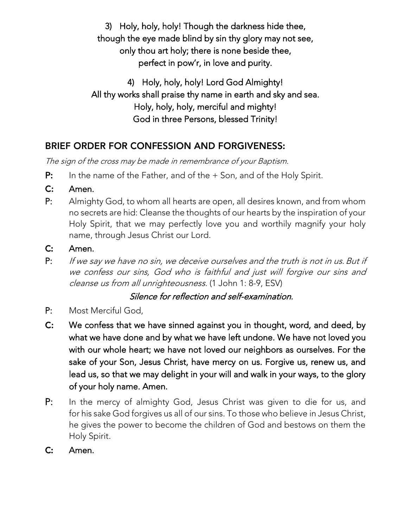3) Holy, holy, holy! Though the darkness hide thee,<br>though the eye made blind by sin thy glory may not see, only thou art holy; there is none beside thee, only thou are holy; there is none beside theo, perfect in pow'r, in love and purity.

4) Holy, holy, holy! Lord God Almighty! All thy works shall praise thy name in earth and sky and sea. Holy, holy, holy, merciful and mighty! God in three Persons, blessed Trinity!  $\sum_{i=1}^{n}$ 

# **BRIEF ORDER FOR CONFESSION AND FORGIVENESS:**

The sign of the cross may be made in remembrance of your Baptism.

- P: In the name of the Father, and of the + Son, and of the Holy Spirit.
- $C:$
- $P:$ Almighty God, to whom all hearts are open, all desires known, and from whom no secrets are hid: Cleanse the thoughts of our hearts by the inspiration of your Holy Spirit, that we may perfectly love you and worthily magnify your holy name, through Jesus Christ our Lord. name, through Jesus Christ our Lord.
- $\mathsf{C}$ :
- 16. . . . . . . P: If we say we have no sin, we deceive ourselves and the truth is not in us. But if<br>We confere our sins, God who is faithful and just will forgive our sins and we confess our sins, God who is faithful and just will forgive our sins and cleanse us from all unrighteousness. (1 John 1: 8-9, ESV)

## Silence for reflection and self-examination.

- Most Merciful God,
- P: Most Merciful God,<br>**C:** We confess that we have sinned against you in thought, word, and deed, by what we have done and by what we have left undone. We have not loved you with our whole heart; we have not loved our neighbors as ourselves. For the sake of your Son, Jesus Christ, have mercy on us. Forgive us, renew us, and lead us, so that we may delight in your will and walk in your ways, to the glory lead us, so that we may delight in your will and walk in your ways, to the glory of your holy name. Amen.
- $P:$ In the mercy of almighty God, Jesus Christ was given to die for us, and<br>for his sake God forgives us all of our sins. To those who believe in Jesus Christ, he gives the power to become the children of God and bestows on them the he gives the power to become the children of God and bestows on them the Holy Spirit.<br>**Amen.**
- $C:$ Amen.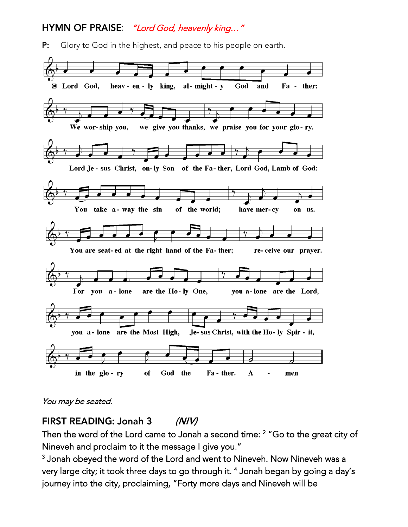### HYMN OF PRAISE: "Lord God, heavenly king..."

 $P:$ Glory to God in the highest, and peace to his people on earth.



#### You may be seated.

FIRST READING: Jonah 3  $(NIV)$ 

Then the word of the Lord came to Jonah a second time: <sup>2</sup> Go to the great city of

Nineveh and proclaim to it the message I give you." 3 Jonah obeyed the word of the Lord and went to Nineveh. Now Nineveh was a very large city, it took three days to go through it.<br>is we arrive the sity measle in in "Farty mana day journey into the city, proclaiming, "Forty more days and Nineveh will be journey into the city, proclaiming, "Forty more days and Nineveh will be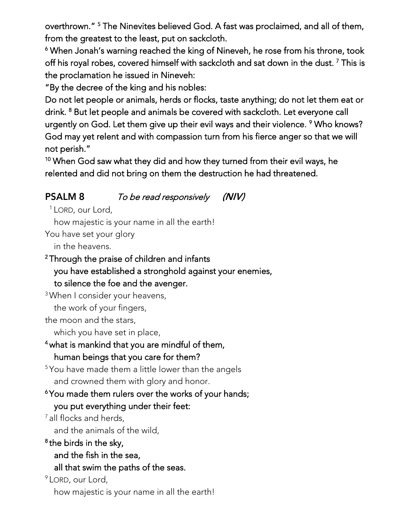overthrown." The Ninevites believed God. A fast was proclaimed, and all of them,<br>from the spectect to the least mut an eachdath.

from the greatest to the least, put on sackcloth. ī warning reached the throne, the throne of the control the control the control to the control to the rose from h<br>White ward when a reached through the collection of the control to the control to the collection of This is th off his royal robes, covered himself with sackcloth and sat down in the dust. <sup>7</sup> This is the proclamation he issued in Nineveh:<br>"By the decree of the king and his nobles:

Do not let people or animals, herds or flocks, taste anything; do not let them eat or drink. <sup>8</sup> But let people and animals be covered with sackcloth. Let everyone call drink. <sup>8</sup> But let people and animals be covered with sackcloth. Let everyone call urgently on God. Let them give up their evil ways and their violence. 9 Who knows?<br>Cod move to be the advisible composition turn from his figure engance that we will God may yet relent and with compassion turn from his fierce anger so that we will

not perish."<br><sup>10</sup> Milliam Cara 10 when God saw which they did and how they did and how they turned from the same turned from the same of the same of the same of the same of the same of the same of the same of the same of the same of the same of the same of relented and did not bring on them the destruction he had threatened.

#### **PSALM 8** To be read responsively  $(N/V)$

 $1$  LORD, our Lord,<br>how majestic is your name in all the earth!

You have set your glory

in the heavens.

# in the heavens.<br>Is as used the heavens. <sup>2</sup>Through the praise of children and infants you have established a stronghold against your enemies, to silence the foe and the avenger.

to silence the foe and the avenger. vident consider your neavens,

the work of your fingers,<br>the moon and the stars.

which you have set in place,

# which you have set in place, what is mankind that you are mindiul of them,

human beings that you can see them? <sup>5</sup> You have made them a little lower than the angels

### and crowned them with glory and honor. Frou made them rulers over the works of your hands;

you put everything under their feet:<br>all flocks and herds.

and the animals of the wild,

and the animals of the animals of the wild,  $\frac{1}{\sqrt{2}}$ 7

- and the fish in the sea,
- all that swim the paths of the seas.

 $9$  LORD, our Lord,

how majestic is your name in all the earth! how majestic is your name in all the earth!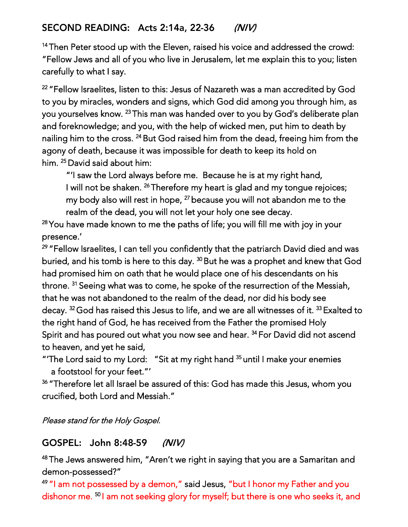<sup>14</sup>Then Peter stood up with the Eleven, raised his voice and addressed the crowd:<br>"Fellow Jews and all of you who live in Jerusalem, let me explain this to you; listen "Fellow Jews and all of you who live in Jerusalem, let me explain this to you; listen carefully to what I say.

, <sup>22</sup>"Fellow Israelites, listen to this: Jesus of Nazareth was a man accredited by God to you by miracles, wonders and signs, which God did among you through him, as<br>you yourselves know. <sup>23</sup> This man was handed over to you by God's deliberate plan you yourselves know. <sup>23</sup>This man was handed over to you by God's deliberate plan<br>and facel may below and you, with the halp af wide diman with him to death by and foreknowledge; and you, markino mep of menod men, put him to death by<br>relieve him to the excess 24 Dut Cod wiced him from the dead, freeing him from t agony of death, because it was impossible for death to keep its hold on 24But God raised him from the dead, freeing him from the part is been in the form of the best and the best and the best and the best and the best and the best and the best and the best and the best and the best and the bes him. <sup>25</sup> David said about him: him.

"I saw the Lord always before me. Because he is at my right hand, I will not be shaken. <sup>26</sup> Therefore my heart is glad and my tongue rejoices; I will not be shaken. <sup>27</sup> I nerefore my heart is glad and my tongue rejoices;<br>couch a shade will get in here. <sup>27</sup> heceuse you will get shanden get a the realm of the dead, you will not let your holy one see decay. <sup>27</sup>because you will not abandon me to the

realm of the dead, you millionery our holy one see decay. <sup>28</sup>You have made known to me the paths of life; you will fill me with joy in your presence.'<br><sup>29</sup> "Fellow Israelites, I can tell you confidently that the patriarch David died and was

<sup>29</sup>"Fellow Israelites, I can tell you confidently that the patriarch David died and was had promised him on oath that he would place one of his descendants on his <sup>30</sup>But he was a prophet and knew that God had promised him on oath that he would place one or the account that he Mexic that he was not abandoned to the realm of the dead, nor did his body see seeing what was to come, he spoke of the resurrection of the Messiah, and the messiah, and the result of the me that he was not abandoned to the realm of the dead, nor did his body seems to the  $37$ decay. <sup>32</sup>God has raised this Jesus to life, and we are all witnesses of it. -- Exalted to<br>the right hand of God, he has received from the Father the promised Holy.<br>Cultile and hoe wound autubature was received from 34 Fax David did wat. to heaven, and yet he said, <sup>34</sup>For David did not ascend

to heaven, and yet he said, a footstool for your feet."' <sup>35</sup>until I make your enemies

a footstool for your feet.<br>36 #Therefere let all lare al hand <sup>36</sup>"Therefore let all Israel be assured of this: God has made this Jesus, whom you crucified, both Lord and Messiah."

Please stand for the Holy Gospel.

#### GOSPEL: John 8:48-59  $(NIV)$

 $48$ The Jews answered him, "Aren't we right in saying that you are a Samaritan and demon-possessed?"

<sup>49</sup> "I am not possessed by a demon," said Jesus, "but I honor my Father and you <sup>49</sup>"I am not possessed by a demon," said Jesus, "but I honor my Father and you dishonor me. 50 I am not seeking glory for myself; but there is one who seeks it, and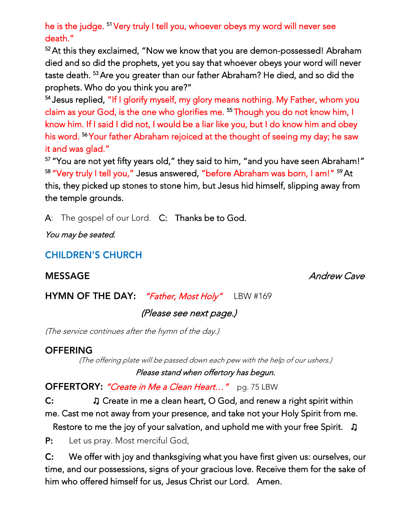death." he is the judge. <sup>51</sup> Very truly I tell you, whoever obeys my word will never see

52 At this they exclaimed, "Now we know that you are demon-possessed! Abraham died and so did the prophets, yet you say that whoever obeys your word will never died and so did the prophets, yet you say that whoever obeys your word will never prophets. Who do you think you are?" <sup>53</sup>Are you greater than our father Abraham? He died, and so did the

<sup>54</sup> Jesus replied, "If I glorify myself, my glory means nothing. My Father, whom you claim as your God, is the one who glorifies me. <sup>55</sup> Though you do not know him, I claim as your God, is the one who glorifies me. Himough you do not know him, I<br>Image him, If I aaid I did not thoughd has a liamlike case hed I de Image him and about know him. If I said I did not, I would be a liar like you, but I do know him and obey.<br>It is would be New fathers Alexabers wisited at the thermals of easing way dear he serv it and was glad." <sup>56</sup>Your father Abraham rejoiced at the thought of seeing my day; he saw

<sup>57</sup> "You are not yet fifty years old," they said to him, "and you have seen Abraham!" 58 "Very truly I tell you," Jesus answered, "before Abraham was born, I am!" <sup>59</sup> At wery truly I tell you, "Jesus answered," before Abraham was born, I am!" ""At "<br>this theoretical weater se to steep him but Jesus hid himself, dispine sweets this, they picked up stones to stone him, but Jesus hid himself, slipping away from the temple grounds.

A: The gospel of our Lord. C: Thanks be to God.

You may be seated.

**CHILDREN'S CHURCH** 

**MESSAGE** 

Andrew Cave

HYMN OF THE DAY: "Father, Most Holy" LBW #169

(Please see next page.)

(The service continues after the hymn of the day.)

## **OFFERING**

(The offering plate will be passed down each pew with the help of our ushers.) Please stand when offertory has begun.

OFFERTORY: "Create in Me a Clean Heart..." pg. 75 LBW

C: J Create in me a clean heart, O God, and renew a right spirit within me. Cast me not away from your presence, and take not your Holy Spirit from me.

me. Cast me not away from your presence, and take not your Holy Spirit from me. Restore to me the joy of your salvation, and uphold me with your free Spirit. *┓* 

 $\sum_{i=1}^{n}$ 

C: We offer with joy and thanksgiving what you have first given us: ourselves, our<br>time, and our possessions, signs of your gracious love. Receive them for the sake of him who offered himself for us, Jesus Christ our Lord. Amen. him who offered himself for us, Jesus Christ our Lord. Amen.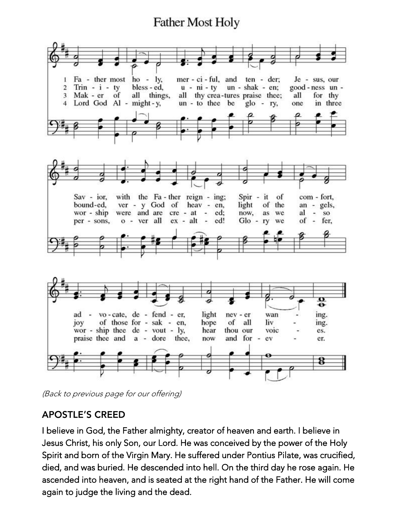# **Father Most Holy**



(Back to previous page for our offering)

### **APOSTLE'S CREED**

I believe in God, the Father almighty, creator of heaven and earth. I believe in<br>Jesus Christ, his only Son, our Lord. He was conceived by the power of the Holy Spirit and born of the Virgin Mary. He suffered under Pontius Pilate, was crucified, died, and was buried. He descended into hell. On the third day he rose again. He ascended into heaven, and is seated at the right hand of the Father. He will come ascended into heaven, and is seated at the right hand of the Father. He will come again to judge the living and the dead.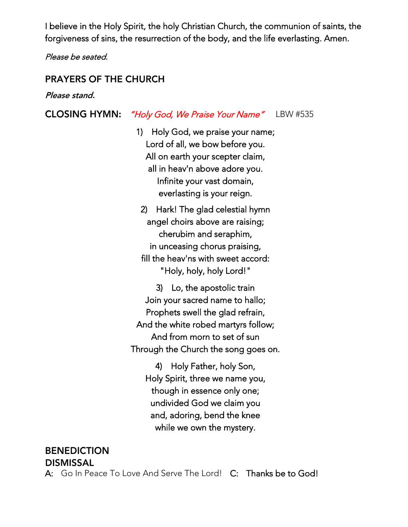I believe in the Holy Spirit, the holy Christian Church, the communion of saints, the forgiveness of sins, the resurrection of the body, and the life everlasting. Amen.

Please be seated.

#### **PRAYERS OF THE CHURCH**

Please stand.

#### **CLOSING HYMN:** "Holy God, We Praise Your Name" LBW #535

1) Holy God, we praise your name; All on earth your scepter claim, All on earth your scepter claim, all in heav'n above adore you. Infinite your vast domain, everlasting is your reign.

2) Hark! The glad celestial hymn angel choirs above are raising; cherubim and seraphim, in unceasing chorus praising, in unceasing chorus praising, fill the heav'ns with sweet accord:  $\cdots$ , holy, holy Lord."

3) Lo, the apostolic train Join your sacred name to hallo; Prophets swell the glad refrain, And the white robed martyrs follow; And from morn to set of sun And from morn to set of sun. Through the Church the song goes on.

4) Holy Father, holy Son, Holy Spirit, three we name you, though in essence only one; undivided God we claim you and, adoring, bend the knee and, adornig, bend the knee while we own the mystery.

**BENEDICTION** 

**DISMISSAL** 

A: Go In Peace To Love And Serve The Lord! C: Thanks be to God! A: Go In Peace To Love And Serve The Lord! C: Thanks be to God!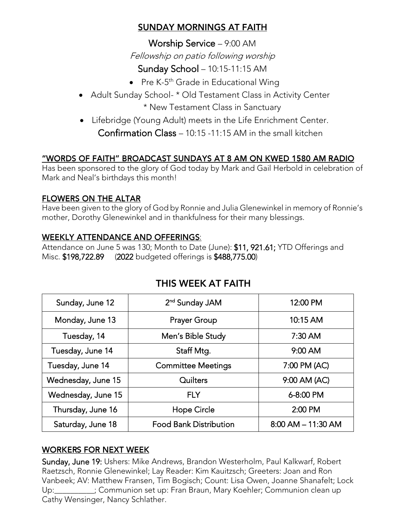### SUNDAY MORNINGS AT FAITH

worship Service – 9:00 AM Fellowship on patio following worship

- Sunday School 10:15-11:15 AM<br>President 10:15-11:15 AM Pre K-5 th Grade in Educational Wing
- Adult Sunday School- \* Old Testament Class in Activity Center<br>• New Testament Class in Sanctuary
- \* New Testament Class in Cancellary • Lifebridge (Young Adult) meets in the Life Enrichment Center.<br> $G = \frac{G}{\sqrt{2\pi}} \int_{-\infty}^{\infty} \frac{G}{\sqrt{2\pi}} \int_{-\infty}^{\infty} \frac{G}{\sqrt{2\pi}} \int_{-\infty}^{\infty} \frac{G}{\sqrt{2\pi}} \int_{-\infty}^{\infty} \frac{G}{\sqrt{2\pi}} \int_{-\infty}^{\infty} \frac{G}{\sqrt{2\pi}} \int_{-\infty}^{\infty} \frac{G}{\sqrt{2\$ Confirmation Class – 10:15 -11:15 AM in the small kitchen

## "WORDS OF FAITH" BROADCAST SUNDAYS AT 8 AM ON KWED 1580 AM RADIO

Has been sponsored to the glory of God today by Mark and Gail Herbold in celebration of Mark and Neal's birthdays this month!

### **FLOWERS ON THE ALTAR**

Have been given to the glory of Goding Hamilto and Julia Glenemine in memory of Ronnie's Chemical St mother, Dorothy Glenewinkel and in thankfulness for their many blessings.

WEEKLY ATTENDANCE AND OFFERINGS:<br>Attendance on June 5 was 130; Month to Date (June): \$11, 921.61; YTD Offerings and Misc. \$198,722.89 (2022 budgeted offerings is \$488,775.00)  $\frac{1}{2}$ 

| Sunday, June 12    | 2 <sup>nd</sup> Sunday JAM    | 12:00 PM               |
|--------------------|-------------------------------|------------------------|
| Monday, June 13    | <b>Prayer Group</b>           | 10:15 AM               |
| Tuesday, 14        | Men's Bible Study             | $7:30$ AM              |
| Tuesday, June 14   | Staff Mtg.                    | $9:00$ AM              |
| Tuesday, June 14   | <b>Committee Meetings</b>     | 7:00 PM (AC)           |
| Wednesday, June 15 | Quilters                      | 9:00 AM (AC)           |
| Wednesday, June 15 | <b>FLY</b>                    | 6-8:00 PM              |
| Thursday, June 16  | Hope Circle                   | 2:00 PM                |
| Saturday, June 18  | <b>Food Bank Distribution</b> | $8:00$ AM $-$ 11:30 AM |

# THIS WFFK AT FAITH

#### **WORKERS FOR NEXT WEEK**

Sunday, June 19: Ushers: Mike Andrews, Brandon Westerholm, Paul Kalkwarf, Robert<br>Raetzsch, Ronnie Glenewinkel; Lay Reader: Kim Kauitzsch; Greeters: Joan and Ron Vanbeek; AV: Matthew Fransen, Tim Bogisch; Count: Lisa Owen, Joanne Shanafelt; Lock Up: Vanheim Matthew Fran Braun, Mary Koehler; Communion clean up Up: \_\_\_\_\_\_\_\_\_\_; Communion set up: Fran Braun, Mary Koemer, Communion security.<br>Cathy Wensinger, Nancy Schlather Cathy Wensinger, Nancy Schlather.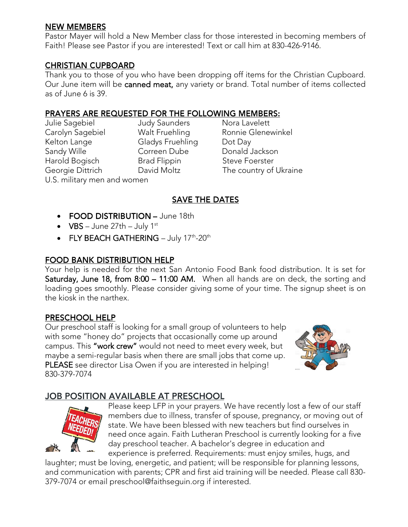#### **NEW MEMBERS**

Pastor Mayer will hold a New Member class for those interested in becoming members of<br>Faith! Please see Pastor if you are interested! Text or call him at 830-426-9146. Faith! Please see Pastor if you are interested! Text or call him at 830-426-9146.

#### **CHRISTIAN CUPBOARD**

Thank you to those of you who have been dropping off items for the Christian Cupboard.<br>Our June item will be **canned meat,** any variety or brand. Total number of items collected as of June 6 is  $39<sup>°</sup>$ as of June 6 is 39.

Kelton Lange Gladys Fruehling Dot Day Sandy Wille **Correen Dube** Donald Jackson Harold Bogisch Brad Flippin Steve Foerster U.S. military men and women U.S. military men and women

i<br>L Julie Sagebiel Judy Saunders Nora Lavelett Nora Lavelett Georgie Dittrich **Example Brad Example 1** David Moltz **Frame** The country of Ukraine

#### **SAVE THE DATES**

- FOOD DISTRIBUTION June 18th
- $VBS June 27th July 1st$
- FLY BEACH GATHERING July 17<sup>th</sup>-20<sup>th</sup>

#### **FOOD BANK DISTRIBUTION HELP**

Your help is needed for the next San Antonio Food Bank food distribution. It is set for<br>Saturday, June 18, from 8:00 – 11:00 AM. When all hands are on deck, the sorting and loading goes smoothly. Please consider giving some of your time. The signup sheet is on the kiosk in the narthex. the kiosk in the narthex.

#### **PRESCHOOL HELP**

Our preschool staff is looking for a small group of volunteers to help<br>with some "honey do" projects that occasionally come up around campus. This "work crew" would not need to meet every week, but maybe a semi-regular basis when there are small jobs that come up. PLEASE see director Lisa Owen if you are interested in helping! 830-379-7074 830-379-7074



### **JOB POSITION AVAILABLE AT PRESCHOOL**



Please keep LFP in your prayers. We have recently lost a few of our staff members due to illness, transfer of spouse, pregnancy, or moving out of state. We have been blessed with new teachers but find ourselves in need once again. Faith Lutheran Preschool is currently looking for a five day preschool teacher. A bachelor's degree in education and<br>experience is preferred. Requirements: must enjoy smiles, bugs, and

experience is preferred. Requirements: must enjoy smiles, hugs, and<br>laughter; must be loving, energetic, and patient; will be responsible for planning lessons, and communication with parents; CPR and first aid training will be needed. Please call 830and communication with parents; CPR and the first aid training will be needed. Please call 830-<br>379-7074 or email preschool@faithsequin org if interested  $379-79-707$  or email present interested.